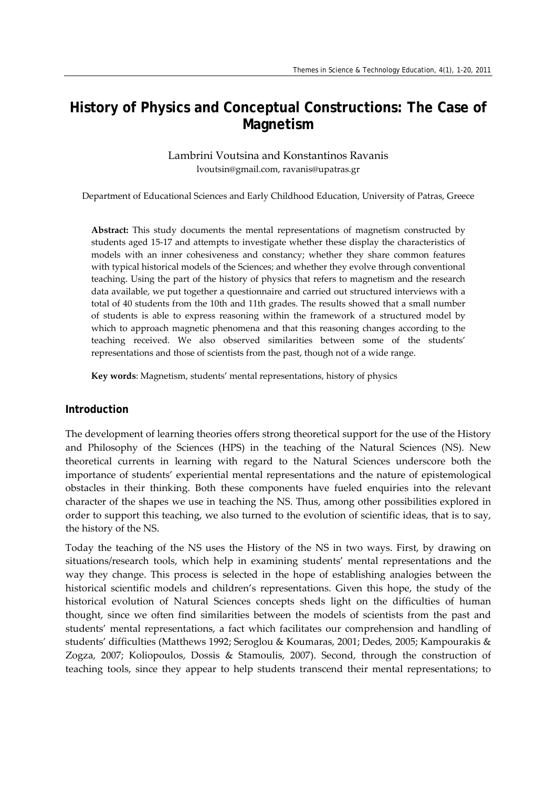# **History of Physics and Conceptual Constructions: The Case of Magnetism**

Lambrini Voutsina and Konstantinos Ravanis lvoutsin@gmail.com, ravanis@upatras.gr

Department of Educational Sciences and Early Childhood Education, University of Patras, Greece

**Abstract:** This study documents the mental representations of magnetism constructed by students aged 15‐17 and attempts to investigate whether these display the characteristics of models with an inner cohesiveness and constancy; whether they share common features with typical historical models of the Sciences; and whether they evolve through conventional teaching. Using the part of the history of physics that refers to magnetism and the research data available, we put together a questionnaire and carried out structured interviews with a total of 40 students from the 10th and 11th grades. The results showed that a small number of students is able to express reasoning within the framework of a structured model by which to approach magnetic phenomena and that this reasoning changes according to the teaching received. We also observed similarities between some of the students' representations and those of scientists from the past, though not of a wide range.

**Key words**: Magnetism, students' mental representations, history of physics

#### **Introduction**

The development of learning theories offers strong theoretical support for the use of the History and Philosophy of the Sciences (HPS) in the teaching of the Natural Sciences (NS). New theoretical currents in learning with regard to the Natural Sciences underscore both the importance of students' experiential mental representations and the nature of epistemological obstacles in their thinking. Both these components have fueled enquiries into the relevant character of the shapes we use in teaching the NS. Thus, among other possibilities explored in order to support this teaching, we also turned to the evolution of scientific ideas, that is to say, the history of the NS.

Today the teaching of the NS uses the History of the NS in two ways. First, by drawing on situations/research tools, which help in examining students' mental representations and the way they change. This process is selected in the hope of establishing analogies between the historical scientific models and children's representations. Given this hope, the study of the historical evolution of Natural Sciences concepts sheds light on the difficulties of human thought, since we often find similarities between the models of scientists from the past and students' mental representations, a fact which facilitates our comprehension and handling of students' difficulties (Matthews 1992; Seroglou & Koumaras, 2001; Dedes, 2005; Kampourakis & Zogza, 2007; Koliopoulos, Dossis & Stamoulis, 2007). Second, through the construction of teaching tools, since they appear to help students transcend their mental representations; to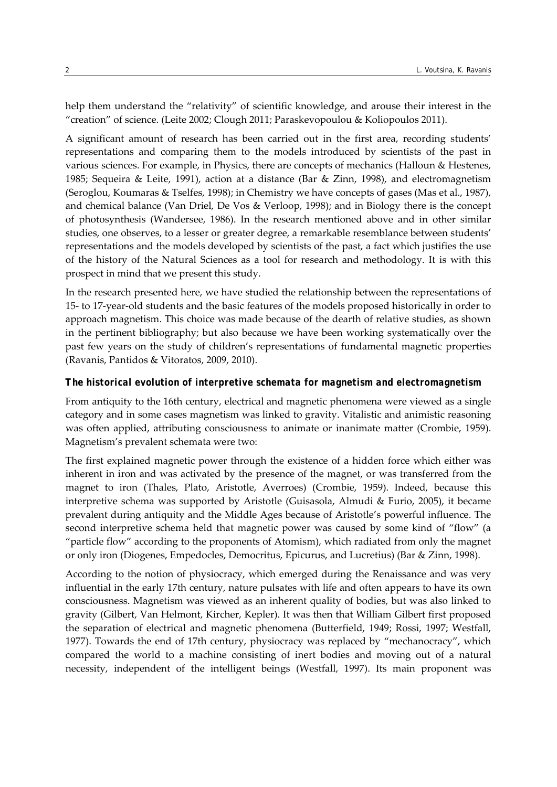help them understand the "relativity" of scientific knowledge, and arouse their interest in the "creation" of science. (Leite 2002; Clough 2011; Paraskevopoulou & Koliopoulos 2011).

A significant amount of research has been carried out in the first area, recording students' representations and comparing them to the models introduced by scientists of the past in various sciences. For example, in Physics, there are concepts of mechanics (Halloun & Hestenes, 1985; Sequeira & Leite, 1991), action at a distance (Bar & Zinn, 1998), and electromagnetism (Seroglou, Koumaras & Tselfes, 1998); in Chemistry we have concepts of gases (Mas et al., 1987), and chemical balance (Van Driel, De Vos & Verloop, 1998); and in Biology there is the concept of photosynthesis (Wandersee, 1986). In the research mentioned above and in other similar studies, one observes, to a lesser or greater degree, a remarkable resemblance between students' representations and the models developed by scientists of the past, a fact which justifies the use of the history of the Natural Sciences as a tool for research and methodology. It is with this prospect in mind that we present this study.

In the research presented here, we have studied the relationship between the representations of 15‐ to 17‐year‐old students and the basic features of the models proposed historically in order to approach magnetism. This choice was made because of the dearth of relative studies, as shown in the pertinent bibliography; but also because we have been working systematically over the past few years on the study of children's representations of fundamental magnetic properties (Ravanis, Pantidos & Vitoratos, 2009, 2010).

#### *The historical evolution of interpretive schemata for magnetism and electromagnetism*

From antiquity to the 16th century, electrical and magnetic phenomena were viewed as a single category and in some cases magnetism was linked to gravity. Vitalistic and animistic reasoning was often applied, attributing consciousness to animate or inanimate matter (Crombie, 1959). Magnetism's prevalent schemata were two:

The first explained magnetic power through the existence of a hidden force which either was inherent in iron and was activated by the presence of the magnet, or was transferred from the magnet to iron (Thales, Plato, Aristotle, Averroes) (Crombie, 1959). Indeed, because this interpretive schema was supported by Aristotle (Guisasola, Almudi & Furio, 2005), it became prevalent during antiquity and the Middle Ages because of Aristotle's powerful influence. The second interpretive schema held that magnetic power was caused by some kind of "flow" (a "particle flow" according to the proponents of Atomism), which radiated from only the magnet or only iron (Diogenes, Empedocles, Democritus, Epicurus, and Lucretius) (Bar & Zinn, 1998).

According to the notion of physiocracy, which emerged during the Renaissance and was very influential in the early 17th century, nature pulsates with life and often appears to have its own consciousness. Magnetism was viewed as an inherent quality of bodies, but was also linked to gravity (Gilbert, Van Helmont, Kircher, Kepler). It was then that William Gilbert first proposed the separation of electrical and magnetic phenomena (Butterfield, 1949; Rossi, 1997; Westfall, 1977). Towards the end of 17th century, physiocracy was replaced by "mechanocracy", which compared the world to a machine consisting of inert bodies and moving out of a natural necessity, independent of the intelligent beings (Westfall, 1997). Its main proponent was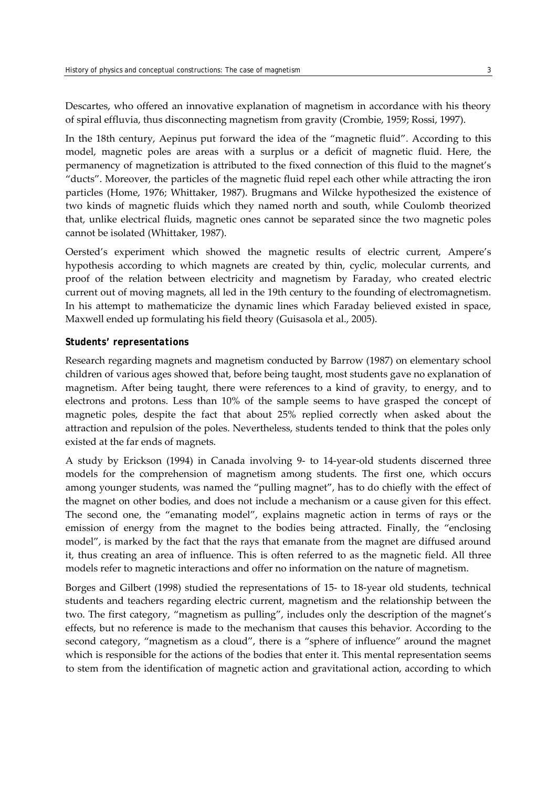Descartes, who offered an innovative explanation of magnetism in accordance with his theory of spiral effluvia, thus disconnecting magnetism from gravity (Crombie, 1959; Rossi, 1997).

In the 18th century, Aepinus put forward the idea of the "magnetic fluid". According to this model, magnetic poles are areas with a surplus or a deficit of magnetic fluid. Here, the permanency of magnetization is attributed to the fixed connection of this fluid to the magnet's "ducts". Moreover, the particles of the magnetic fluid repel each other while attracting the iron particles (Home, 1976; Whittaker, 1987). Brugmans and Wilcke hypothesized the existence of two kinds of magnetic fluids which they named north and south, while Coulomb theorized that, unlike electrical fluids, magnetic ones cannot be separated since the two magnetic poles cannot be isolated (Whittaker, 1987).

Oersted's experiment which showed the magnetic results of electric current, Ampere's hypothesis according to which magnets are created by thin, cyclic, molecular currents, and proof of the relation between electricity and magnetism by Faraday, who created electric current out of moving magnets, all led in the 19th century to the founding of electromagnetism. In his attempt to mathematicize the dynamic lines which Faraday believed existed in space, Maxwell ended up formulating his field theory (Guisasola et al., 2005).

#### *Students' representations*

Research regarding magnets and magnetism conducted by Barrow (1987) on elementary school children of various ages showed that, before being taught, most students gave no explanation of magnetism. After being taught, there were references to a kind of gravity, to energy, and to electrons and protons. Less than 10% of the sample seems to have grasped the concept of magnetic poles, despite the fact that about 25% replied correctly when asked about the attraction and repulsion of the poles. Nevertheless, students tended to think that the poles only existed at the far ends of magnets.

A study by Erickson (1994) in Canada involving 9‐ to 14‐year‐old students discerned three models for the comprehension of magnetism among students. The first one, which occurs among younger students, was named the "pulling magnet", has to do chiefly with the effect of the magnet on other bodies, and does not include a mechanism or a cause given for this effect. The second one, the "emanating model", explains magnetic action in terms of rays or the emission of energy from the magnet to the bodies being attracted. Finally, the "enclosing model", is marked by the fact that the rays that emanate from the magnet are diffused around it, thus creating an area of influence. This is often referred to as the magnetic field. All three models refer to magnetic interactions and offer no information on the nature of magnetism.

Borges and Gilbert (1998) studied the representations of 15‐ to 18‐year old students, technical students and teachers regarding electric current, magnetism and the relationship between the two. The first category, "magnetism as pulling", includes only the description of the magnet's effects, but no reference is made to the mechanism that causes this behavior. According to the second category, "magnetism as a cloud", there is a "sphere of influence" around the magnet which is responsible for the actions of the bodies that enter it. This mental representation seems to stem from the identification of magnetic action and gravitational action, according to which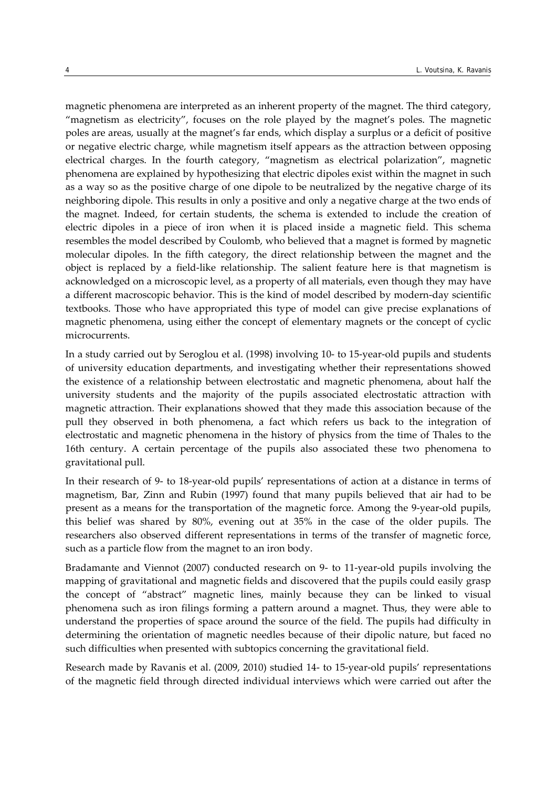magnetic phenomena are interpreted as an inherent property of the magnet. The third category, "magnetism as electricity", focuses on the role played by the magnet's poles. The magnetic poles are areas, usually at the magnet's far ends, which display a surplus or a deficit of positive or negative electric charge, while magnetism itself appears as the attraction between opposing electrical charges. In the fourth category, "magnetism as electrical polarization", magnetic phenomena are explained by hypothesizing that electric dipoles exist within the magnet in such as a way so as the positive charge of one dipole to be neutralized by the negative charge of its neighboring dipole. This results in only a positive and only a negative charge at the two ends of the magnet. Indeed, for certain students, the schema is extended to include the creation of electric dipoles in a piece of iron when it is placed inside a magnetic field. This schema resembles the model described by Coulomb, who believed that a magnet is formed by magnetic molecular dipoles. In the fifth category, the direct relationship between the magnet and the object is replaced by a field‐like relationship. The salient feature here is that magnetism is acknowledged on a microscopic level, as a property of all materials, even though they may have a different macroscopic behavior. This is the kind of model described by modern‐day scientific textbooks. Those who have appropriated this type of model can give precise explanations of magnetic phenomena, using either the concept of elementary magnets or the concept of cyclic microcurrents.

In a study carried out by Seroglou et al. (1998) involving 10‐ to 15‐year‐old pupils and students of university education departments, and investigating whether their representations showed the existence of a relationship between electrostatic and magnetic phenomena, about half the university students and the majority of the pupils associated electrostatic attraction with magnetic attraction. Their explanations showed that they made this association because of the pull they observed in both phenomena, a fact which refers us back to the integration of electrostatic and magnetic phenomena in the history of physics from the time of Thales to the 16th century. A certain percentage of the pupils also associated these two phenomena to gravitational pull.

In their research of 9- to 18-year-old pupils' representations of action at a distance in terms of magnetism, Bar, Zinn and Rubin (1997) found that many pupils believed that air had to be present as a means for the transportation of the magnetic force. Among the 9‐year‐old pupils, this belief was shared by 80%, evening out at 35% in the case of the older pupils. The researchers also observed different representations in terms of the transfer of magnetic force, such as a particle flow from the magnet to an iron body.

Bradamante and Viennot (2007) conducted research on 9‐ to 11‐year‐old pupils involving the mapping of gravitational and magnetic fields and discovered that the pupils could easily grasp the concept of "abstract" magnetic lines, mainly because they can be linked to visual phenomena such as iron filings forming a pattern around a magnet. Thus, they were able to understand the properties of space around the source of the field. The pupils had difficulty in determining the orientation of magnetic needles because of their dipolic nature, but faced no such difficulties when presented with subtopics concerning the gravitational field.

Research made by Ravanis et al. (2009, 2010) studied 14- to 15-year-old pupils' representations of the magnetic field through directed individual interviews which were carried out after the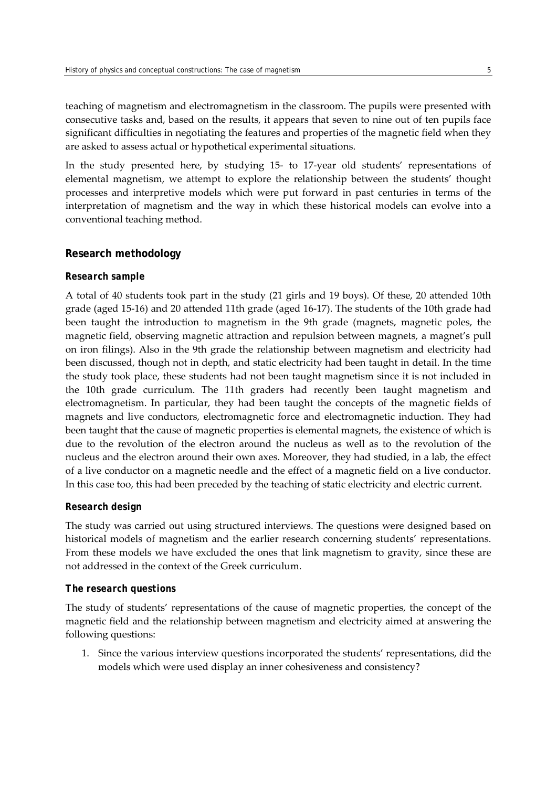teaching of magnetism and electromagnetism in the classroom. The pupils were presented with consecutive tasks and, based on the results, it appears that seven to nine out of ten pupils face significant difficulties in negotiating the features and properties of the magnetic field when they are asked to assess actual or hypothetical experimental situations.

In the study presented here, by studying 15‐ to 17‐year old students' representations of elemental magnetism, we attempt to explore the relationship between the students' thought processes and interpretive models which were put forward in past centuries in terms of the interpretation of magnetism and the way in which these historical models can evolve into a conventional teaching method.

# **Research methodology**

#### *Research sample*

A total of 40 students took part in the study (21 girls and 19 boys). Of these, 20 attended 10th grade (aged 15‐16) and 20 attended 11th grade (aged 16‐17). The students of the 10th grade had been taught the introduction to magnetism in the 9th grade (magnets, magnetic poles, the magnetic field, observing magnetic attraction and repulsion between magnets, a magnet's pull on iron filings). Also in the 9th grade the relationship between magnetism and electricity had been discussed, though not in depth, and static electricity had been taught in detail. In the time the study took place, these students had not been taught magnetism since it is not included in the 10th grade curriculum. The 11th graders had recently been taught magnetism and electromagnetism. In particular, they had been taught the concepts of the magnetic fields of magnets and live conductors, electromagnetic force and electromagnetic induction. They had been taught that the cause of magnetic properties is elemental magnets, the existence of which is due to the revolution of the electron around the nucleus as well as to the revolution of the nucleus and the electron around their own axes. Moreover, they had studied, in a lab, the effect of a live conductor on a magnetic needle and the effect of a magnetic field on a live conductor. In this case too, this had been preceded by the teaching of static electricity and electric current.

#### *Research design*

The study was carried out using structured interviews. The questions were designed based on historical models of magnetism and the earlier research concerning students' representations. From these models we have excluded the ones that link magnetism to gravity, since these are not addressed in the context of the Greek curriculum.

#### *The research questions*

The study of students' representations of the cause of magnetic properties, the concept of the magnetic field and the relationship between magnetism and electricity aimed at answering the following questions:

1. Since the various interview questions incorporated the students' representations, did the models which were used display an inner cohesiveness and consistency?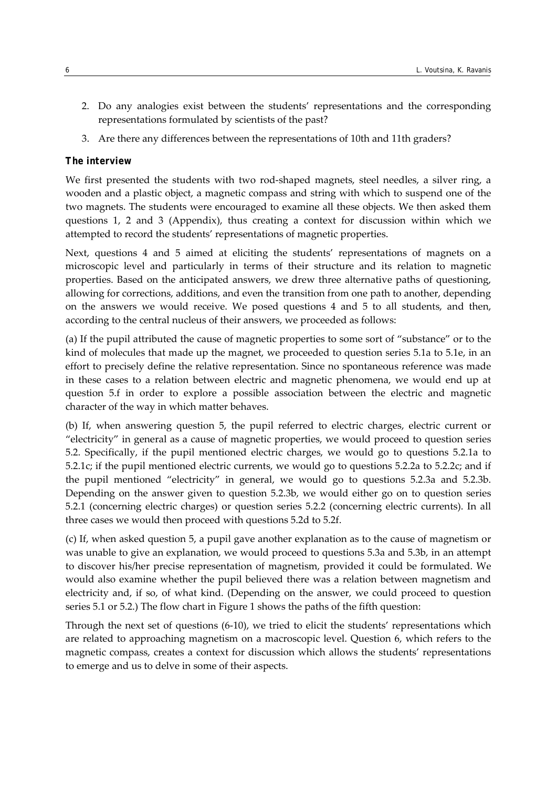- 2. Do any analogies exist between the students' representations and the corresponding representations formulated by scientists of the past?
- 3. Are there any differences between the representations of 10th and 11th graders?

# *The interview*

We first presented the students with two rod-shaped magnets, steel needles, a silver ring, a wooden and a plastic object, a magnetic compass and string with which to suspend one of the two magnets. The students were encouraged to examine all these objects. We then asked them questions 1, 2 and 3 (Appendix), thus creating a context for discussion within which we attempted to record the students' representations of magnetic properties.

Next, questions 4 and 5 aimed at eliciting the students' representations of magnets on a microscopic level and particularly in terms of their structure and its relation to magnetic properties. Based on the anticipated answers, we drew three alternative paths of questioning, allowing for corrections, additions, and even the transition from one path to another, depending on the answers we would receive. We posed questions 4 and 5 to all students, and then, according to the central nucleus of their answers, we proceeded as follows:

(a) If the pupil attributed the cause of magnetic properties to some sort of "substance" or to the kind of molecules that made up the magnet, we proceeded to question series 5.1a to 5.1e, in an effort to precisely define the relative representation. Since no spontaneous reference was made in these cases to a relation between electric and magnetic phenomena, we would end up at question 5.f in order to explore a possible association between the electric and magnetic character of the way in which matter behaves.

(b) If, when answering question 5, the pupil referred to electric charges, electric current or "electricity" in general as a cause of magnetic properties, we would proceed to question series 5.2. Specifically, if the pupil mentioned electric charges, we would go to questions 5.2.1a to 5.2.1c; if the pupil mentioned electric currents, we would go to questions 5.2.2a to 5.2.2c; and if the pupil mentioned "electricity" in general, we would go to questions 5.2.3a and 5.2.3b. Depending on the answer given to question 5.2.3b, we would either go on to question series 5.2.1 (concerning electric charges) or question series 5.2.2 (concerning electric currents). In all three cases we would then proceed with questions 5.2d to 5.2f.

(c) If, when asked question 5, a pupil gave another explanation as to the cause of magnetism or was unable to give an explanation, we would proceed to questions 5.3a and 5.3b, in an attempt to discover his/her precise representation of magnetism, provided it could be formulated. We would also examine whether the pupil believed there was a relation between magnetism and electricity and, if so, of what kind. (Depending on the answer, we could proceed to question series 5.1 or 5.2.) The flow chart in Figure 1 shows the paths of the fifth question:

Through the next set of questions (6‐10), we tried to elicit the students' representations which are related to approaching magnetism on a macroscopic level. Question 6, which refers to the magnetic compass, creates a context for discussion which allows the students' representations to emerge and us to delve in some of their aspects.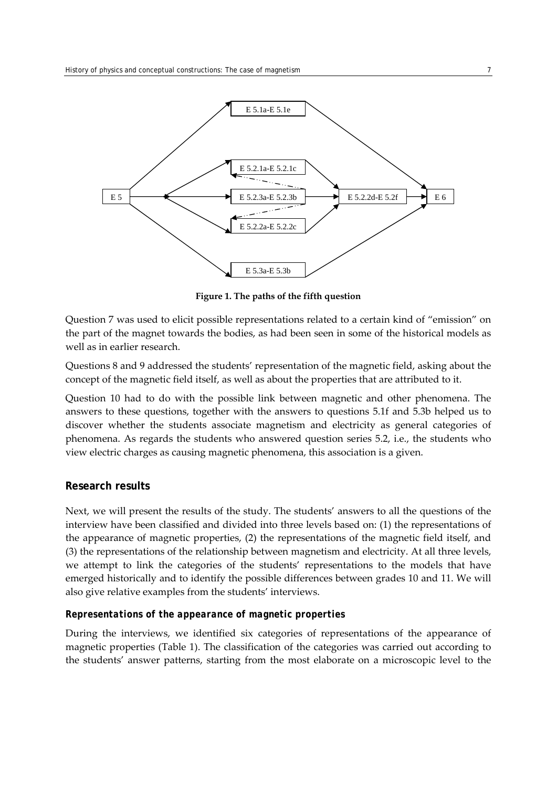

**Figure 1. The paths of the fifth question** 

Question 7 was used to elicit possible representations related to a certain kind of "emission" on the part of the magnet towards the bodies, as had been seen in some of the historical models as well as in earlier research.

Questions 8 and 9 addressed the students' representation of the magnetic field, asking about the concept of the magnetic field itself, as well as about the properties that are attributed to it.

Question 10 had to do with the possible link between magnetic and other phenomena. The answers to these questions, together with the answers to questions 5.1f and 5.3b helped us to discover whether the students associate magnetism and electricity as general categories of phenomena. As regards the students who answered question series 5.2, i.e., the students who view electric charges as causing magnetic phenomena, this association is a given.

#### **Research results**

Next, we will present the results of the study. The students' answers to all the questions of the interview have been classified and divided into three levels based on: (1) the representations of the appearance of magnetic properties, (2) the representations of the magnetic field itself, and (3) the representations of the relationship between magnetism and electricity. At all three levels, we attempt to link the categories of the students' representations to the models that have emerged historically and to identify the possible differences between grades 10 and 11. We will also give relative examples from the students' interviews.

#### *Representations of the appearance of magnetic properties*

During the interviews, we identified six categories of representations of the appearance of magnetic properties (Table 1). The classification of the categories was carried out according to the students' answer patterns, starting from the most elaborate on a microscopic level to the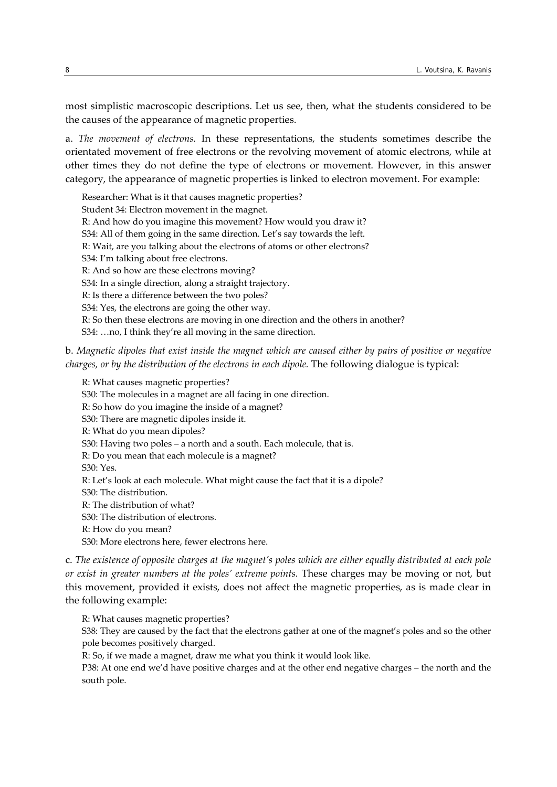most simplistic macroscopic descriptions. Let us see, then, what the students considered to be the causes of the appearance of magnetic properties.

a. *The movement of electrons.* In these representations, the students sometimes describe the orientated movement of free electrons or the revolving movement of atomic electrons, while at other times they do not define the type of electrons or movement. However, in this answer category, the appearance of magnetic properties is linked to electron movement. For example:

Researcher: What is it that causes magnetic properties? Student 34: Electron movement in the magnet. R: And how do you imagine this movement? How would you draw it? S34: All of them going in the same direction. Let's say towards the left. R: Wait, are you talking about the electrons of atoms or other electrons? S34: I'm talking about free electrons. R: And so how are these electrons moving? S34: In a single direction, along a straight trajectory. R: Is there a difference between the two poles? S34: Yes, the electrons are going the other way. R: So then these electrons are moving in one direction and the others in another? S34: …no, I think they're all moving in the same direction.

# b. *Magnetic dipoles that exist inside the magnet which are caused either by pairs of positive or negative charges, or by the distribution of the electrons in each dipole.* The following dialogue is typical:

R: What causes magnetic properties? S30: The molecules in a magnet are all facing in one direction. R: So how do you imagine the inside of a magnet? S30: There are magnetic dipoles inside it. R: What do you mean dipoles? S30: Having two poles – a north and a south. Each molecule, that is. R: Do you mean that each molecule is a magnet? S30: Yes. R: Let's look at each molecule. What might cause the fact that it is a dipole? S30: The distribution. R: The distribution of what? S30: The distribution of electrons. R: How do you mean? S30: More electrons here, fewer electrons here.

c. The existence of opposite charges at the magnet's poles which are either equally distributed at each pole *or exist in greater numbers at the poles' extreme points.* These charges may be moving or not, but this movement, provided it exists, does not affect the magnetic properties, as is made clear in the following example:

R: What causes magnetic properties?

S38: They are caused by the fact that the electrons gather at one of the magnet's poles and so the other pole becomes positively charged.

R: So, if we made a magnet, draw me what you think it would look like.

P38: At one end we'd have positive charges and at the other end negative charges – the north and the south pole.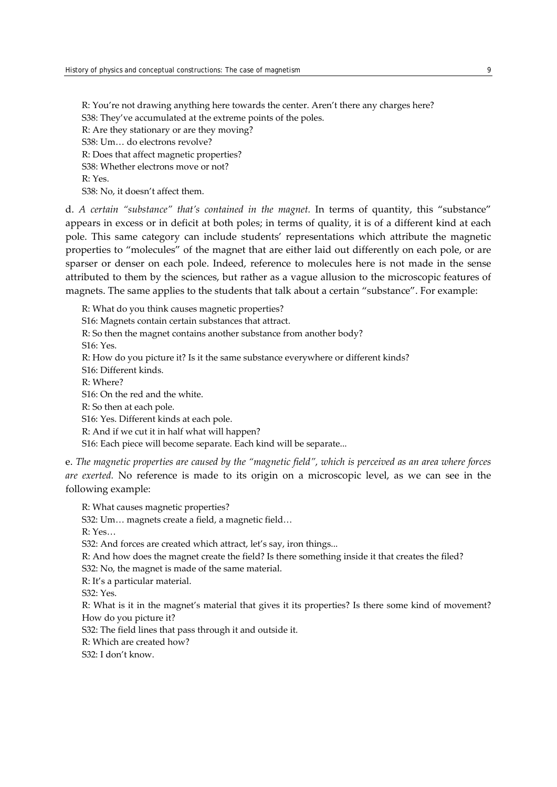R: You're not drawing anything here towards the center. Aren't there any charges here? S38: They've accumulated at the extreme points of the poles. R: Are they stationary or are they moving? S38: Um… do electrons revolve? R: Does that affect magnetic properties? S38: Whether electrons move or not? R: Yes. S38: No, it doesn't affect them.

d. *A certain "substance" that's contained in the magnet.* In terms of quantity, this "substance" appears in excess or in deficit at both poles; in terms of quality, it is of a different kind at each pole. This same category can include students' representations which attribute the magnetic properties to "molecules" of the magnet that are either laid out differently on each pole, or are sparser or denser on each pole. Indeed, reference to molecules here is not made in the sense attributed to them by the sciences, but rather as a vague allusion to the microscopic features of magnets. The same applies to the students that talk about a certain "substance". For example:

R: What do you think causes magnetic properties? S16: Magnets contain certain substances that attract. R: So then the magnet contains another substance from another body? S16: Yes. R: How do you picture it? Is it the same substance everywhere or different kinds? S16: Different kinds. R: Where? S16: On the red and the white. R: So then at each pole. S16: Yes. Different kinds at each pole. R: And if we cut it in half what will happen? S16: Each piece will become separate. Each kind will be separate...

e. *The magnetic properties are caused by the "magnetic field", which is perceived as an area where forces are exerted.* No reference is made to its origin on a microscopic level, as we can see in the following example:

R: What causes magnetic properties? S32: Um… magnets create a field, a magnetic field… R: Yes… S32: And forces are created which attract, let's say, iron things... R: And how does the magnet create the field? Is there something inside it that creates the filed? S32: No, the magnet is made of the same material. R: It's a particular material. S32: Yes. R: What is it in the magnet's material that gives it its properties? Is there some kind of movement? How do you picture it? S32: The field lines that pass through it and outside it.

R: Which are created how?

S32: I don't know.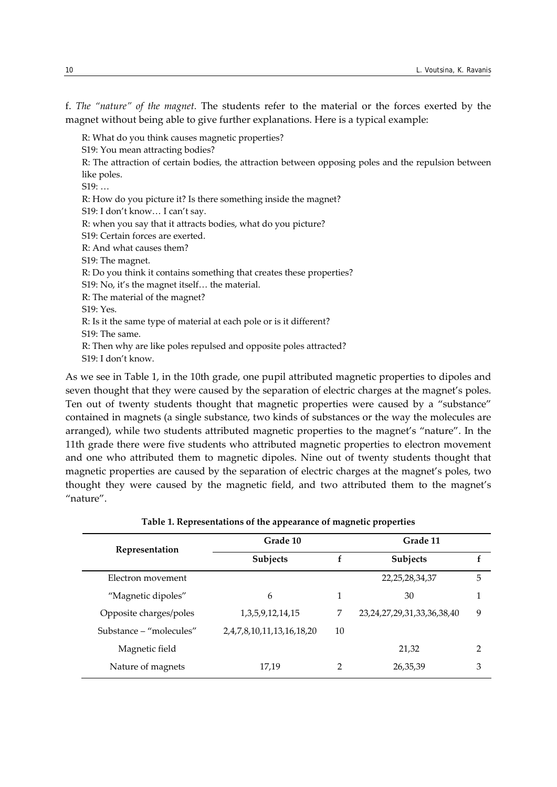f. *The "nature" of the magnet.* The students refer to the material or the forces exerted by the magnet without being able to give further explanations. Here is a typical example:

R: What do you think causes magnetic properties?

S19: You mean attracting bodies?

R: The attraction of certain bodies, the attraction between opposing poles and the repulsion between like poles.

S19: …

R: How do you picture it? Is there something inside the magnet?

S19: I don't know… I can't say.

R: when you say that it attracts bodies, what do you picture?

S19: Certain forces are exerted.

R: And what causes them?

S19: The magnet.

R: Do you think it contains something that creates these properties?

S19: No, it's the magnet itself… the material.

R: The material of the magnet?

S19: Yes.

R: Is it the same type of material at each pole or is it different?

- S19: The same.
- R: Then why are like poles repulsed and opposite poles attracted?

S19: I don't know.

As we see in Table 1, in the 10th grade, one pupil attributed magnetic properties to dipoles and seven thought that they were caused by the separation of electric charges at the magnet's poles. Ten out of twenty students thought that magnetic properties were caused by a "substance" contained in magnets (a single substance, two kinds of substances or the way the molecules are arranged), while two students attributed magnetic properties to the magnet's "nature". In the 11th grade there were five students who attributed magnetic properties to electron movement and one who attributed them to magnetic dipoles. Nine out of twenty students thought that magnetic properties are caused by the separation of electric charges at the magnet's poles, two thought they were caused by the magnetic field, and two attributed them to the magnet's "nature".

| Representation          | Grade 10                  |    | Grade 11                           |   |  |  |
|-------------------------|---------------------------|----|------------------------------------|---|--|--|
|                         | Subjects                  |    | Subjects                           | f |  |  |
| Electron movement       |                           |    | 22, 25, 28, 34, 37                 | 5 |  |  |
| "Magnetic dipoles"      | 6                         | 1  | 30                                 | 1 |  |  |
| Opposite charges/poles  | 1, 3, 5, 9, 12, 14, 15    | 7  | 23, 24, 27, 29, 31, 33, 36, 38, 40 | 9 |  |  |
| Substance – "molecules" | 2,4,7,8,10,11,13,16,18,20 | 10 |                                    |   |  |  |
| Magnetic field          |                           |    | 21,32                              | 2 |  |  |
| Nature of magnets       | 17,19                     |    | 26,35,39                           | З |  |  |

| Table 1. Representations of the appearance of magnetic properties |  |  |
|-------------------------------------------------------------------|--|--|
|                                                                   |  |  |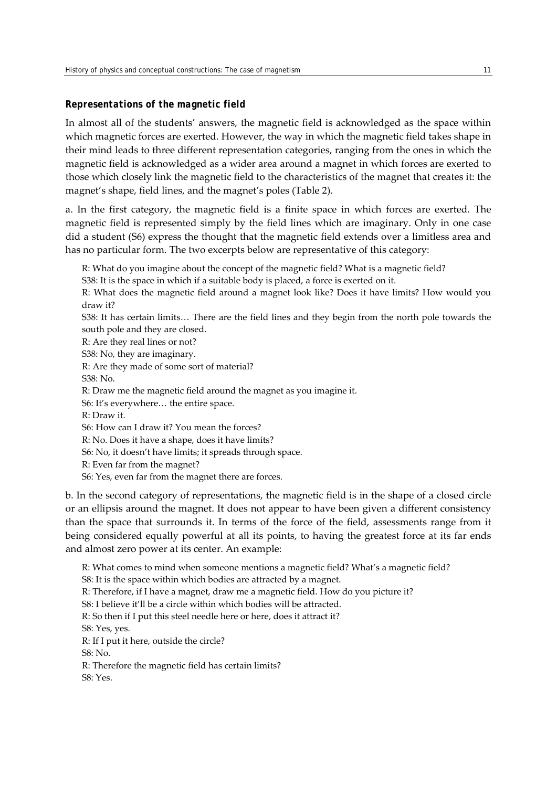#### *Representations of the magnetic field*

In almost all of the students' answers, the magnetic field is acknowledged as the space within which magnetic forces are exerted. However, the way in which the magnetic field takes shape in their mind leads to three different representation categories, ranging from the ones in which the magnetic field is acknowledged as a wider area around a magnet in which forces are exerted to those which closely link the magnetic field to the characteristics of the magnet that creates it: the magnet's shape, field lines, and the magnet's poles (Table 2).

a. In the first category, the magnetic field is a finite space in which forces are exerted. The magnetic field is represented simply by the field lines which are imaginary. Only in one case did a student (S6) express the thought that the magnetic field extends over a limitless area and has no particular form. The two excerpts below are representative of this category:

R: What do you imagine about the concept of the magnetic field? What is a magnetic field?

S38: It is the space in which if a suitable body is placed, a force is exerted on it.

R: What does the magnetic field around a magnet look like? Does it have limits? How would you draw it?

S38: It has certain limits… There are the field lines and they begin from the north pole towards the south pole and they are closed.

R: Are they real lines or not?

S38: No, they are imaginary.

R: Are they made of some sort of material?

S38: No.

R: Draw me the magnetic field around the magnet as you imagine it.

S6: It's everywhere… the entire space.

R: Draw it.

S6: How can I draw it? You mean the forces?

R: No. Does it have a shape, does it have limits?

S6: No, it doesn't have limits; it spreads through space.

R: Even far from the magnet?

S6: Yes, even far from the magnet there are forces.

b. In the second category of representations, the magnetic field is in the shape of a closed circle or an ellipsis around the magnet. It does not appear to have been given a different consistency than the space that surrounds it. In terms of the force of the field, assessments range from it being considered equally powerful at all its points, to having the greatest force at its far ends and almost zero power at its center. An example:

R: What comes to mind when someone mentions a magnetic field? What's a magnetic field? S8: It is the space within which bodies are attracted by a magnet. R: Therefore, if I have a magnet, draw me a magnetic field. How do you picture it? S8: I believe it'll be a circle within which bodies will be attracted. R: So then if I put this steel needle here or here, does it attract it? S8: Yes, yes. R: If I put it here, outside the circle?  $S8 \cdot N_0$ R: Therefore the magnetic field has certain limits? S8: Yes.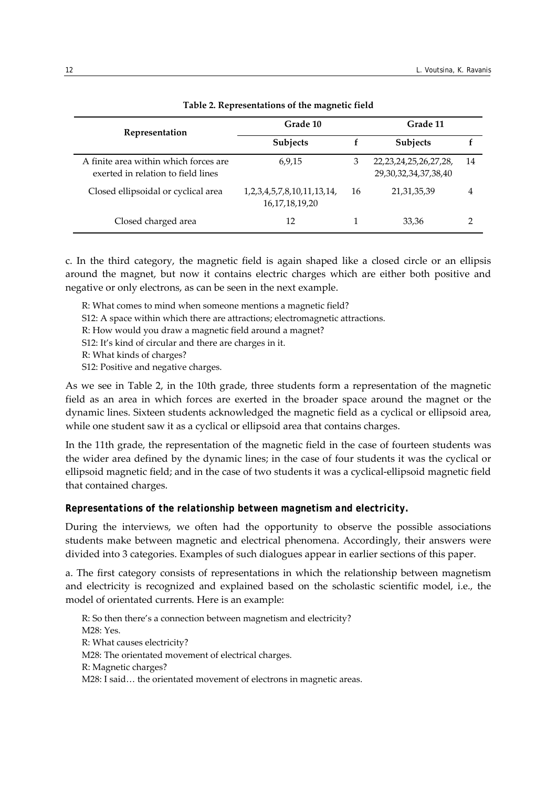| Representation                                                              | Grade 10                                                   | Grade 11 |                                                           |    |
|-----------------------------------------------------------------------------|------------------------------------------------------------|----------|-----------------------------------------------------------|----|
|                                                                             | <b>Subjects</b>                                            |          | <b>Subjects</b>                                           |    |
| A finite area within which forces are<br>exerted in relation to field lines | 6,9,15                                                     | 3        | 22, 23, 24, 25, 26, 27, 28,<br>29, 30, 32, 34, 37, 38, 40 | 14 |
| Closed ellipsoidal or cyclical area                                         | 1, 2, 3, 4, 5, 7, 8, 10, 11, 13, 14,<br>16, 17, 18, 19, 20 | 16       | 21, 31, 35, 39                                            | 4  |
| Closed charged area                                                         | 12                                                         |          | 33,36                                                     |    |

#### **Table 2. Representations of the magnetic field**

c. In the third category, the magnetic field is again shaped like a closed circle or an ellipsis around the magnet, but now it contains electric charges which are either both positive and negative or only electrons, as can be seen in the next example.

R: What comes to mind when someone mentions a magnetic field?

- S12: A space within which there are attractions; electromagnetic attractions.
- R: How would you draw a magnetic field around a magnet?

S12: It's kind of circular and there are charges in it.

R: What kinds of charges?

S12: Positive and negative charges.

As we see in Table 2, in the 10th grade, three students form a representation of the magnetic field as an area in which forces are exerted in the broader space around the magnet or the dynamic lines. Sixteen students acknowledged the magnetic field as a cyclical or ellipsoid area, while one student saw it as a cyclical or ellipsoid area that contains charges.

In the 11th grade, the representation of the magnetic field in the case of fourteen students was the wider area defined by the dynamic lines; in the case of four students it was the cyclical or ellipsoid magnetic field; and in the case of two students it was a cyclical‐ellipsoid magnetic field that contained charges.

# *Representations of the relationship between magnetism and electricity.*

During the interviews, we often had the opportunity to observe the possible associations students make between magnetic and electrical phenomena. Accordingly, their answers were divided into 3 categories. Examples of such dialogues appear in earlier sections of this paper.

a. The first category consists of representations in which the relationship between magnetism and electricity is recognized and explained based on the scholastic scientific model, i.e., the model of orientated currents. Here is an example:

R: So then there's a connection between magnetism and electricity? Μ28: Yes. R: What causes electricity? Μ28: The orientated movement of electrical charges. R: Magnetic charges? M28: I said... the orientated movement of electrons in magnetic areas.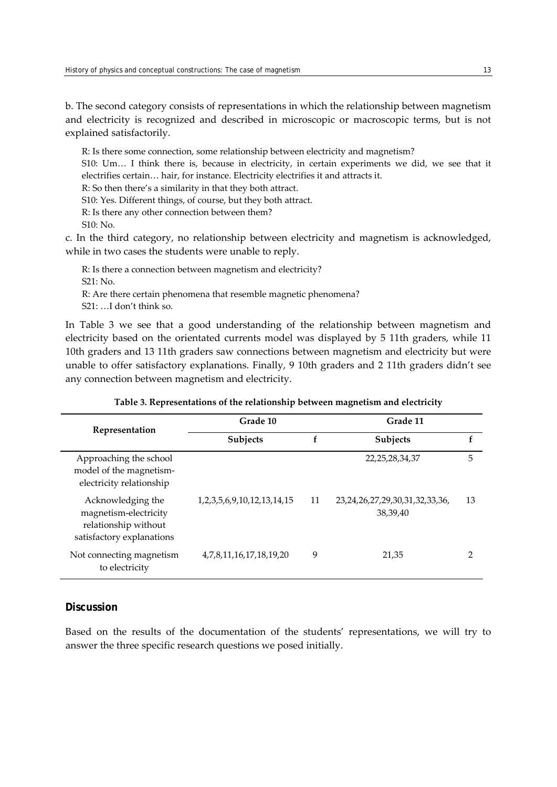b. The second category consists of representations in which the relationship between magnetism and electricity is recognized and described in microscopic or macroscopic terms, but is not explained satisfactorily.

R: Is there some connection, some relationship between electricity and magnetism? S10: Um… I think there is, because in electricity, in certain experiments we did, we see that it electrifies certain… hair, for instance. Electricity electrifies it and attracts it. R: So then there's a similarity in that they both attract. S10: Yes. Different things, of course, but they both attract. R: Is there any other connection between them? S10: No.

c. In the third category, no relationship between electricity and magnetism is acknowledged, while in two cases the students were unable to reply.

R: Is there a connection between magnetism and electricity? S21: No. R: Are there certain phenomena that resemble magnetic phenomena? S21: …I don't think so.

In Table 3 we see that a good understanding of the relationship between magnetism and electricity based on the orientated currents model was displayed by 5 11th graders, while 11 10th graders and 13 11th graders saw connections between magnetism and electricity but were unable to offer satisfactory explanations. Finally, 9 10th graders and 2 11th graders didn't see any connection between magnetism and electricity.

| Representation                                                                                  | Grade 10                             |    | Grade 11                                            |    |  |
|-------------------------------------------------------------------------------------------------|--------------------------------------|----|-----------------------------------------------------|----|--|
|                                                                                                 | Subjects                             | f  | Subjects                                            | f  |  |
| Approaching the school<br>model of the magnetism-<br>electricity relationship                   |                                      |    | 22, 25, 28, 34, 37                                  | 5  |  |
| Acknowledging the<br>magnetism-electricity<br>relationship without<br>satisfactory explanations | 1, 2, 3, 5, 6, 9, 10, 12, 13, 14, 15 | 11 | 23, 24, 26, 27, 29, 30, 31, 32, 33, 36,<br>38,39,40 | 13 |  |
| Not connecting magnetism<br>to electricity                                                      | 4,7,8,11,16,17,18,19,20              | 9  | 21,35                                               | 2  |  |

| Table 3. Representations of the relationship between magnetism and electricity |  |  |  |  |
|--------------------------------------------------------------------------------|--|--|--|--|
|                                                                                |  |  |  |  |

# **Discussion**

Based on the results of the documentation of the students' representations, we will try to answer the three specific research questions we posed initially.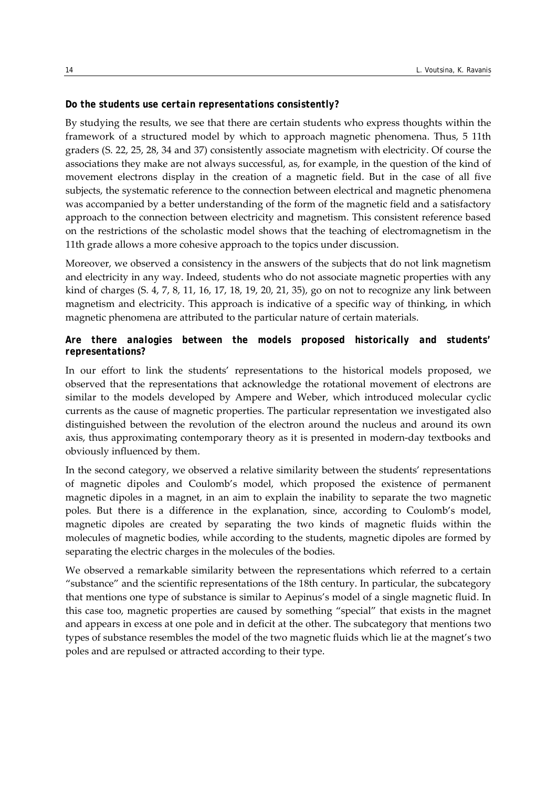#### *Do the students use certain representations consistently?*

By studying the results, we see that there are certain students who express thoughts within the framework of a structured model by which to approach magnetic phenomena. Thus, 5 11th graders (S. 22, 25, 28, 34 and 37) consistently associate magnetism with electricity. Of course the associations they make are not always successful, as, for example, in the question of the kind of movement electrons display in the creation of a magnetic field. But in the case of all five subjects, the systematic reference to the connection between electrical and magnetic phenomena was accompanied by a better understanding of the form of the magnetic field and a satisfactory approach to the connection between electricity and magnetism. This consistent reference based on the restrictions of the scholastic model shows that the teaching of electromagnetism in the 11th grade allows a more cohesive approach to the topics under discussion.

Moreover, we observed a consistency in the answers of the subjects that do not link magnetism and electricity in any way. Indeed, students who do not associate magnetic properties with any kind of charges (S. 4, 7, 8, 11, 16, 17, 18, 19, 20, 21, 35), go on not to recognize any link between magnetism and electricity. This approach is indicative of a specific way of thinking, in which magnetic phenomena are attributed to the particular nature of certain materials.

# *Are there analogies between the models proposed historically and students' representations?*

In our effort to link the students' representations to the historical models proposed, we observed that the representations that acknowledge the rotational movement of electrons are similar to the models developed by Ampere and Weber, which introduced molecular cyclic currents as the cause of magnetic properties. The particular representation we investigated also distinguished between the revolution of the electron around the nucleus and around its own axis, thus approximating contemporary theory as it is presented in modern‐day textbooks and obviously influenced by them.

In the second category, we observed a relative similarity between the students' representations of magnetic dipoles and Coulomb's model, which proposed the existence of permanent magnetic dipoles in a magnet, in an aim to explain the inability to separate the two magnetic poles. But there is a difference in the explanation, since, according to Coulomb's model, magnetic dipoles are created by separating the two kinds of magnetic fluids within the molecules of magnetic bodies, while according to the students, magnetic dipoles are formed by separating the electric charges in the molecules of the bodies.

We observed a remarkable similarity between the representations which referred to a certain "substance" and the scientific representations of the 18th century. In particular, the subcategory that mentions one type of substance is similar to Aepinus's model of a single magnetic fluid. In this case too, magnetic properties are caused by something "special" that exists in the magnet and appears in excess at one pole and in deficit at the other. The subcategory that mentions two types of substance resembles the model of the two magnetic fluids which lie at the magnet's two poles and are repulsed or attracted according to their type.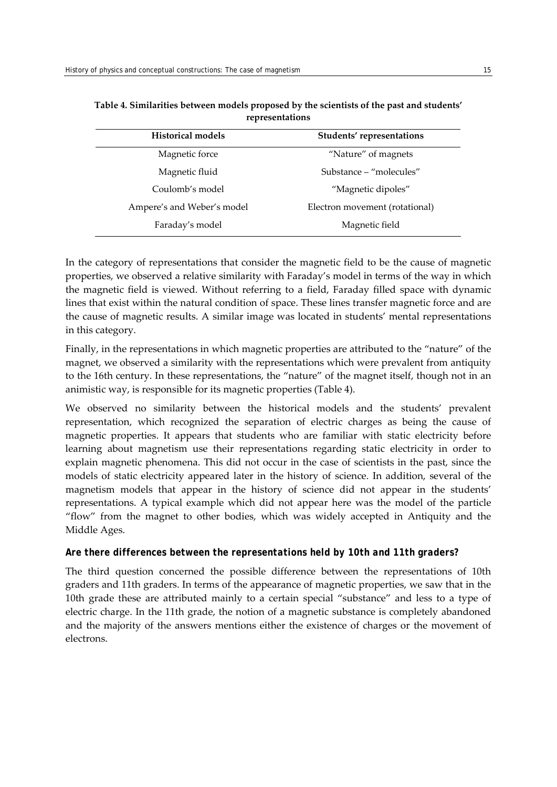| <b>Historical models</b>   | Students' representations      |
|----------------------------|--------------------------------|
| Magnetic force             | "Nature" of magnets            |
| Magnetic fluid             | Substance – "molecules"        |
| Coulomb's model            | "Magnetic dipoles"             |
| Ampere's and Weber's model | Electron movement (rotational) |
| Faraday's model            | Magnetic field                 |

**Table 4. Similarities between models proposed by the scientists of the past and students' representations**

In the category of representations that consider the magnetic field to be the cause of magnetic properties, we observed a relative similarity with Faraday's model in terms of the way in which the magnetic field is viewed. Without referring to a field, Faraday filled space with dynamic lines that exist within the natural condition of space. These lines transfer magnetic force and are the cause of magnetic results. A similar image was located in students' mental representations in this category.

Finally, in the representations in which magnetic properties are attributed to the "nature" of the magnet, we observed a similarity with the representations which were prevalent from antiquity to the 16th century. In these representations, the "nature" of the magnet itself, though not in an animistic way, is responsible for its magnetic properties (Table 4).

We observed no similarity between the historical models and the students' prevalent representation, which recognized the separation of electric charges as being the cause of magnetic properties. It appears that students who are familiar with static electricity before learning about magnetism use their representations regarding static electricity in order to explain magnetic phenomena. This did not occur in the case of scientists in the past, since the models of static electricity appeared later in the history of science. In addition, several of the magnetism models that appear in the history of science did not appear in the students' representations. A typical example which did not appear here was the model of the particle "flow" from the magnet to other bodies, which was widely accepted in Antiquity and the Middle Ages.

# *Are there differences between the representations held by 10th and 11th graders?*

The third question concerned the possible difference between the representations of 10th graders and 11th graders. In terms of the appearance of magnetic properties, we saw that in the 10th grade these are attributed mainly to a certain special "substance" and less to a type of electric charge. In the 11th grade, the notion of a magnetic substance is completely abandoned and the majority of the answers mentions either the existence of charges or the movement of electrons.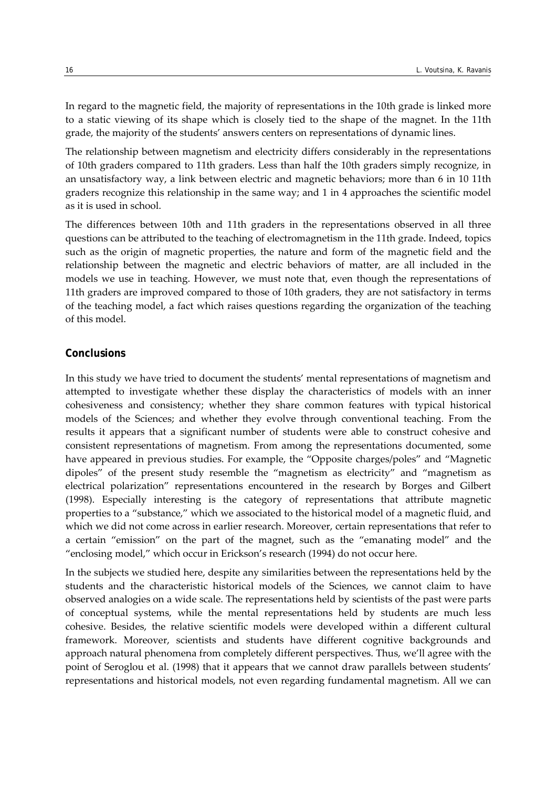In regard to the magnetic field, the majority of representations in the 10th grade is linked more to a static viewing of its shape which is closely tied to the shape of the magnet. In the 11th grade, the majority of the students' answers centers on representations of dynamic lines.

The relationship between magnetism and electricity differs considerably in the representations of 10th graders compared to 11th graders. Less than half the 10th graders simply recognize, in an unsatisfactory way, a link between electric and magnetic behaviors; more than 6 in 10 11th graders recognize this relationship in the same way; and 1 in 4 approaches the scientific model as it is used in school.

The differences between 10th and 11th graders in the representations observed in all three questions can be attributed to the teaching of electromagnetism in the 11th grade. Indeed, topics such as the origin of magnetic properties, the nature and form of the magnetic field and the relationship between the magnetic and electric behaviors of matter, are all included in the models we use in teaching. However, we must note that, even though the representations of 11th graders are improved compared to those of 10th graders, they are not satisfactory in terms of the teaching model, a fact which raises questions regarding the organization of the teaching of this model.

#### **Conclusions**

In this study we have tried to document the students' mental representations of magnetism and attempted to investigate whether these display the characteristics of models with an inner cohesiveness and consistency; whether they share common features with typical historical models of the Sciences; and whether they evolve through conventional teaching. From the results it appears that a significant number of students were able to construct cohesive and consistent representations of magnetism. From among the representations documented, some have appeared in previous studies. For example, the "Opposite charges/poles" and "Magnetic dipoles" of the present study resemble the "magnetism as electricity" and "magnetism as electrical polarization" representations encountered in the research by Borges and Gilbert (1998). Especially interesting is the category of representations that attribute magnetic properties to a "substance," which we associated to the historical model of a magnetic fluid, and which we did not come across in earlier research. Moreover, certain representations that refer to a certain "emission" on the part of the magnet, such as the "emanating model" and the "enclosing model," which occur in Erickson's research (1994) do not occur here.

In the subjects we studied here, despite any similarities between the representations held by the students and the characteristic historical models of the Sciences, we cannot claim to have observed analogies on a wide scale. The representations held by scientists of the past were parts of conceptual systems, while the mental representations held by students are much less cohesive. Besides, the relative scientific models were developed within a different cultural framework. Moreover, scientists and students have different cognitive backgrounds and approach natural phenomena from completely different perspectives. Thus, we'll agree with the point of Seroglou et al. (1998) that it appears that we cannot draw parallels between students' representations and historical models, not even regarding fundamental magnetism. All we can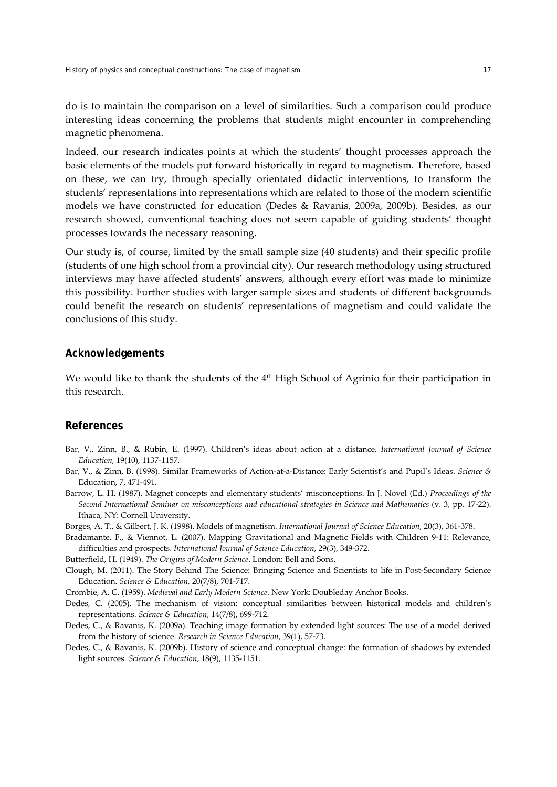do is to maintain the comparison on a level of similarities. Such a comparison could produce interesting ideas concerning the problems that students might encounter in comprehending magnetic phenomena.

Indeed, our research indicates points at which the students' thought processes approach the basic elements of the models put forward historically in regard to magnetism. Therefore, based on these, we can try, through specially orientated didactic interventions, to transform the students' representations into representations which are related to those of the modern scientific models we have constructed for education (Dedes & Ravanis, 2009a, 2009b). Besides, as our research showed, conventional teaching does not seem capable of guiding students' thought processes towards the necessary reasoning.

Our study is, of course, limited by the small sample size (40 students) and their specific profile (students of one high school from a provincial city). Our research methodology using structured interviews may have affected students' answers, although every effort was made to minimize this possibility. Further studies with larger sample sizes and students of different backgrounds could benefit the research on students' representations of magnetism and could validate the conclusions of this study.

#### **Acknowledgements**

We would like to thank the students of the 4<sup>th</sup> High School of Agrinio for their participation in this research.

#### **References**

- Bar, V., Zinn, B., & Rubin, E. (1997). Children's ideas about action at a distance. *International Journal of Science Education*, 19(10), 1137‐1157.
- Bar, V., & Zinn, B. (1998). Similar Frameworks of Action‐at‐a‐Distance: Early Scientist's and Pupil's Ideas. *Science &* Education, 7, 471‐491.
- Barrow, L. H. (1987). Magnet concepts and elementary students' misconceptions. In J. Novel (Ed.) *Proceedings of the Second International Seminar on misconceptions and educational strategies in Science and Mathematics* (v. 3, pp. 17‐22). Ithaca, NY: Cornell University.

Borges, A. T., & Gilbert, J. K. (1998). Models of magnetism. *International Journal of Science Education*, 20(3), 361‐378.

Bradamante, F., & Viennot, L. (2007). Mapping Gravitational and Magnetic Fields with Children 9‐11: Relevance, difficulties and prospects. *International Journal of Science Education*, 29(3), 349‐372.

Butterfield, H. (1949). *The Origins of Modern Science*. London: Bell and Sons.

Clough, M. (2011). The Story Behind The Science: Bringing Science and Scientists to life in Post‐Secondary Science Education. *Science & Education,* 20(7/8), 701‐717.

Crombie, A. C. (1959). *Medieval and Early Modern Science*. New York: Doubleday Anchor Books.

Dedes, C. (2005). The mechanism of vision: conceptual similarities between historical models and children's representations. *Science & Education*, 14(7/8), 699‐712.

- Dedes, C., & Ravanis, K. (2009a). Teaching image formation by extended light sources: The use of a model derived from the history of science. *Research in Science Education*, 39(1), 57‐73.
- Dedes, C., & Ravanis, K. (2009b). History of science and conceptual change: the formation of shadows by extended light sources. *Science & Education*, 18(9), 1135‐1151.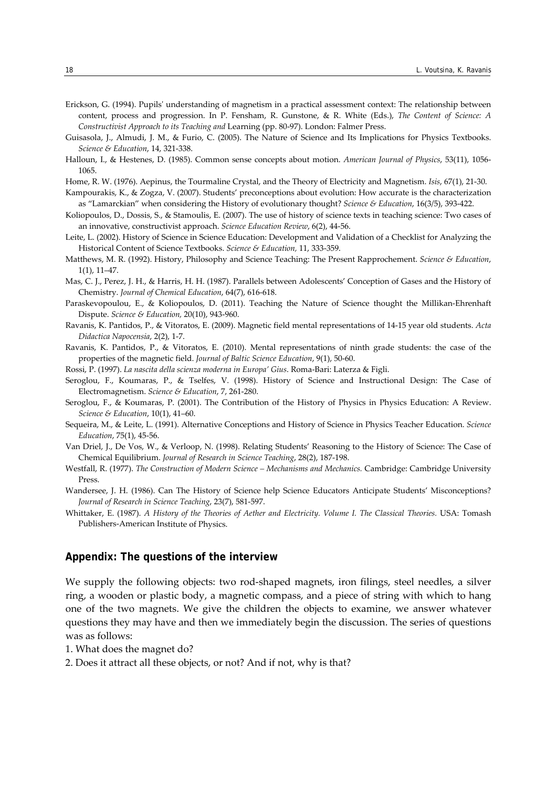- Erickson, G. (1994). Pupilsʹ understanding of magnetism in a practical assessment context: The relationship between content, process and progression. In P. Fensham, R. Gunstone, & R. White (Eds.), *The Content of Science: A Constructivist Approach to its Teaching and* Learning (pp. 80‐97). London: Falmer Press.
- Guisasola, J., Almudi, J. M., & Furio, C. (2005). The Nature of Science and Its Implications for Physics Textbooks. *Science & Education*, 14, 321‐338.
- Halloun, I., & Hestenes, D. (1985). Common sense concepts about motion. *American Journal of Physics*, 53(11), 1056‐ 1065.
- Home, R. W. (1976). Aepinus, the Tourmaline Crystal, and the Theory of Electricity and Magnetism. *Isis*, 67(1), 21‐30.
- Kampourakis, K., & Zogza, V. (2007). Students' preconceptions about evolution: How accurate is the characterization as "Lamarckian" when considering the History of evolutionary thought? *Science & Education*, 16(3/5), 393‐422.
- Koliopoulos, D., Dossis, S., & Stamoulis, E. (2007). The use of history of science texts in teaching science: Two cases of an innovative, constructivist approach. *Science Education Review*, 6(2), 44‐56.
- Leite, L. (2002). History of Science in Science Education: Development and Validation of a Checklist for Analyzing the Historical Content of Science Textbooks. *Science & Education,* 11, 333‐359.
- Matthews, M. R. (1992). History, Philosophy and Science Teaching: The Present Rapprochement. *Science & Education*, 1(1), 11–47.
- Mas, C. J., Perez, J. H., & Harris, H. H. (1987). Parallels between Adolescents' Conception of Gases and the History of Chemistry. *Journal of Chemical Education*, 64(7), 616‐618.
- Paraskevopoulou, E., & Koliopoulos, D. (2011). Teaching the Nature of Science thought the Millikan‐Ehrenhaft Dispute. *Science & Education,* 20(10), 943‐960.
- Ravanis, K. Pantidos, P., & Vitoratos, E. (2009). Magnetic field mental representations of 14‐15 year old students. *Acta Didactica Napocensia*, 2(2), 1‐7.
- Ravanis, K. Pantidos, P., & Vitoratos, E. (2010). Mental representations of ninth grade students: the case of the properties of the magnetic field. *Journal of Baltic Science Education*, 9(1), 50‐60.
- Rossi, P. (1997). *La nascita della scienza moderna in Europa' Gius*. Roma‐Bari: Laterza & Figli.
- Seroglou, F., Koumaras, P., & Tselfes, V. (1998). History of Science and Instructional Design: The Case of Electromagnetism. *Science & Education*, 7, 261‐280.
- Seroglou, F., & Koumaras, P. (2001). The Contribution of the History of Physics in Physics Education: A Review. *Science & Education*, 10(1), 41–60.
- Sequeira, M., & Leite, L. (1991). Alternative Conceptions and History of Science in Physics Teacher Education. *Science Education*, 75(1), 45‐56.
- Van Driel, J., De Vos, W., & Verloop, N. (1998). Relating Students' Reasoning to the History of Science: The Case of Chemical Equilibrium. *Journal of Research in Science Teaching*, 28(2), 187‐198.
- Westfall, R. (1977). *The Construction of Modern Science – Mechanisms and Mechanics.* Cambridge: Cambridge University Press.
- Wandersee, J. H. (1986). Can The History of Science help Science Educators Anticipate Students' Misconceptions? *Journal of Research in Science Teaching*, 23(7), 581‐597.
- Whittaker, E. (1987). *A History of the Theories of Aether and Electricity. Volume I. The Classical Theories.* USA: Tomash Publishers‐American Institute of Physics.

# **Appendix: The questions of the interview**

We supply the following objects: two rod-shaped magnets, iron filings, steel needles, a silver ring, a wooden or plastic body, a magnetic compass, and a piece of string with which to hang one of the two magnets. We give the children the objects to examine, we answer whatever questions they may have and then we immediately begin the discussion. The series of questions was as follows:

- 1. What does the magnet do?
- 2. Does it attract all these objects, or not? And if not, why is that?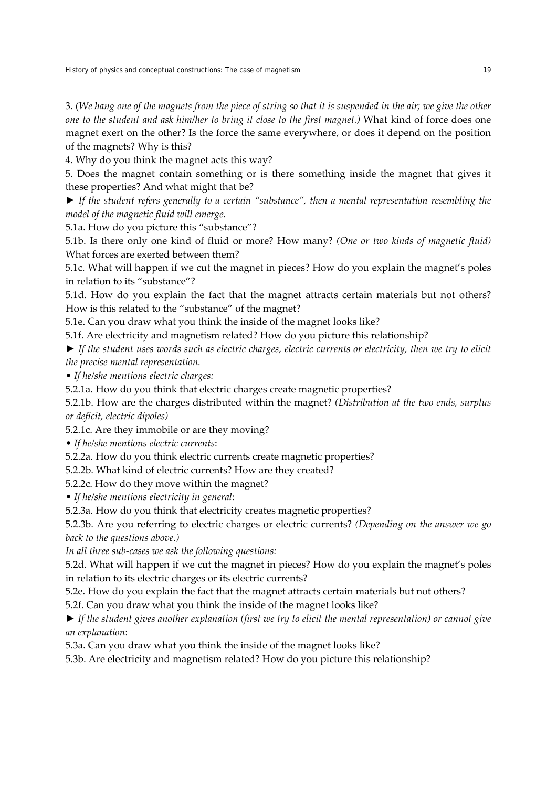3. (We hang one of the magnets from the piece of string so that it is suspended in the air; we give the other *one to the student and ask him/her to bring it close to the first magnet.)* What kind of force does one magnet exert on the other? Is the force the same everywhere, or does it depend on the position of the magnets? Why is this?

4. Why do you think the magnet acts this way?

5. Does the magnet contain something or is there something inside the magnet that gives it these properties? And what might that be?

► *If the student refers generally to a certain "substance", then a mental representation resembling the model of the magnetic fluid will emerge.* 

5.1a. How do you picture this "substance"?

5.1b. Is there only one kind of fluid or more? How many? *(One or two kinds of magnetic fluid)* What forces are exerted between them?

5.1c. What will happen if we cut the magnet in pieces? How do you explain the magnet's poles in relation to its "substance"?

5.1d. How do you explain the fact that the magnet attracts certain materials but not others? How is this related to the "substance" of the magnet?

5.1e. Can you draw what you think the inside of the magnet looks like?

5.1f. Are electricity and magnetism related? How do you picture this relationship?

 $\triangleright$  If the student uses words such as electric charges, electric currents or electricity, then we try to elicit *the precise mental representation.* 

• *If he/she mentions electric charges:* 

5.2.1a. How do you think that electric charges create magnetic properties?

5.2.1b. How are the charges distributed within the magnet? *(Distribution at the two ends, surplus or deficit, electric dipoles)*

5.2.1c. Are they immobile or are they moving?

• *If he/she mentions electric currents*:

5.2.2a. How do you think electric currents create magnetic properties?

5.2.2b. What kind of electric currents? How are they created?

5.2.2c. How do they move within the magnet?

• *If he/she mentions electricity in general*:

5.2.3a. How do you think that electricity creates magnetic properties?

5.2.3b. Are you referring to electric charges or electric currents? *(Depending on the answer we go back to the questions above.)*

*In all three sub‐cases we ask the following questions:*

5.2d. What will happen if we cut the magnet in pieces? How do you explain the magnet's poles in relation to its electric charges or its electric currents?

5.2e. How do you explain the fact that the magnet attracts certain materials but not others?

5.2f. Can you draw what you think the inside of the magnet looks like?

 $\blacktriangleright$  If the student gives another explanation (first we try to elicit the mental representation) or cannot give *an explanation*:

5.3a. Can you draw what you think the inside of the magnet looks like?

5.3b. Are electricity and magnetism related? How do you picture this relationship?